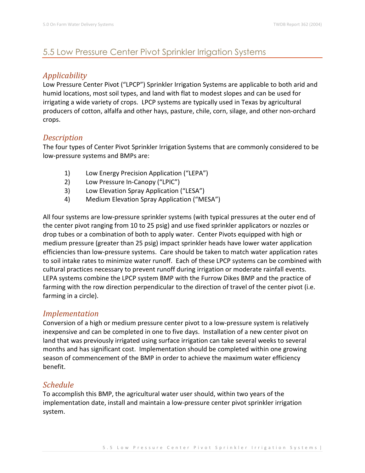# 5.5 Low Pressure Center Pivot Sprinkler Irrigation Systems

## *Applicability*

Low Pressure Center Pivot ("LPCP") Sprinkler Irrigation Systems are applicable to both arid and humid locations, most soil types, and land with flat to modest slopes and can be used for irrigating a wide variety of crops. LPCP systems are typically used in Texas by agricultural producers of cotton, alfalfa and other hays, pasture, chile, corn, silage, and other non-orchard crops.

### *Description*

The four types of Center Pivot Sprinkler Irrigation Systems that are commonly considered to be low-pressure systems and BMPs are:

- 1) Low Energy Precision Application ("LEPA")
- 2) Low Pressure In-Canopy ("LPIC")
- 3) Low Elevation Spray Application ("LESA")
- 4) Medium Elevation Spray Application ("MESA")

All four systems are low-pressure sprinkler systems (with typical pressures at the outer end of the center pivot ranging from 10 to 25 psig) and use fixed sprinkler applicators or nozzles or drop tubes or a combination of both to apply water. Center Pivots equipped with high or medium pressure (greater than 25 psig) impact sprinkler heads have lower water application efficiencies than low-pressure systems. Care should be taken to match water application rates to soil intake rates to minimize water runoff. Each of these LPCP systems can be combined with cultural practices necessary to prevent runoff during irrigation or moderate rainfall events. LEPA systems combine the LPCP system BMP with the Furrow Dikes BMP and the practice of farming with the row direction perpendicular to the direction of travel of the center pivot (i.e. farming in a circle).

#### *Implementation*

Conversion of a high or medium pressure center pivot to a low-pressure system is relatively inexpensive and can be completed in one to five days. Installation of a new center pivot on land that was previously irrigated using surface irrigation can take several weeks to several months and has significant cost. Implementation should be completed within one growing season of commencement of the BMP in order to achieve the maximum water efficiency benefit.

## *Schedule*

To accomplish this BMP, the agricultural water user should, within two years of the implementation date, install and maintain a low-pressure center pivot sprinkler irrigation system.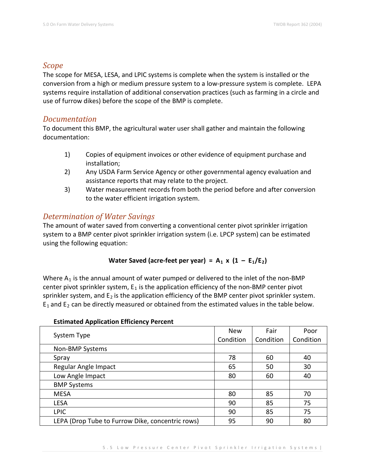#### *Scope*

The scope for MESA, LESA, and LPIC systems is complete when the system is installed or the conversion from a high or medium pressure system to a low-pressure system is complete. LEPA systems require installation of additional conservation practices (such as farming in a circle and use of furrow dikes) before the scope of the BMP is complete.

#### *Documentation*

To document this BMP, the agricultural water user shall gather and maintain the following documentation:

- 1) Copies of equipment invoices or other evidence of equipment purchase and installation;
- 2) Any USDA Farm Service Agency or other governmental agency evaluation and assistance reports that may relate to the project.
- 3) Water measurement records from both the period before and after conversion to the water efficient irrigation system.

## *Determination of Water Savings*

The amount of water saved from converting a conventional center pivot sprinkler irrigation system to a BMP center pivot sprinkler irrigation system (i.e. LPCP system) can be estimated using the following equation:

## Water Saved (acre-feet per year) =  $A_1 \times (1 - E_1/E_2)$

Where  $A_1$  is the annual amount of water pumped or delivered to the inlet of the non-BMP center pivot sprinkler system,  $E_1$  is the application efficiency of the non-BMP center pivot sprinkler system, and  $E_2$  is the application efficiency of the BMP center pivot sprinkler system.  $E_1$  and  $E_2$  can be directly measured or obtained from the estimated values in the table below.

| . .<br>System Type                               | <b>New</b> | Fair      | Poor      |
|--------------------------------------------------|------------|-----------|-----------|
|                                                  | Condition  | Condition | Condition |
| Non-BMP Systems                                  |            |           |           |
| Spray                                            | 78         | 60        | 40        |
| Regular Angle Impact                             | 65         | 50        | 30        |
| Low Angle Impact                                 | 80         | 60        | 40        |
| <b>BMP Systems</b>                               |            |           |           |
| <b>MESA</b>                                      | 80         | 85        | 70        |
| <b>LESA</b>                                      | 90         | 85        | 75        |
| <b>LPIC</b>                                      | 90         | 85        | 75        |
| LEPA (Drop Tube to Furrow Dike, concentric rows) | 95         | 90        | 80        |

#### **Estimated Application Efficiency Percent**